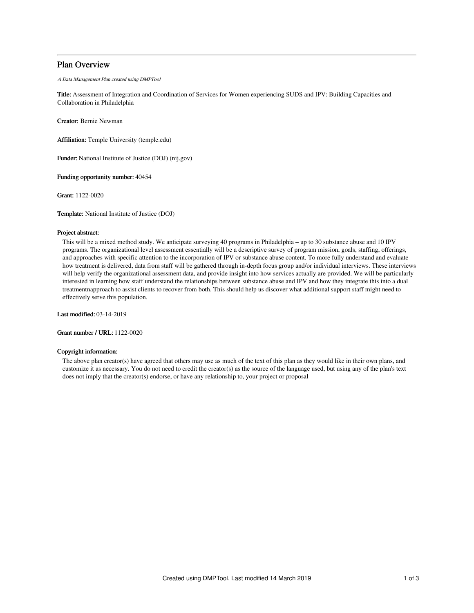# Plan Overview

A Data Management Plan created using DMPTool

Title: Assessment of Integration and Coordination of Services for Women experiencing SUDS and IPV: Building Capacities and Collaboration in Philadelphia

Creator: Bernie Newman

Affiliation: Temple University (temple.edu)

Funder: National Institute of Justice (DOJ) (nij.gov)

Funding opportunity number: 40454

Grant: 1122-0020

Template: National Institute of Justice (DOJ)

## Project abstract:

This will be a mixed method study. We anticipate surveying 40 programs in Philadelphia – up to 30 substance abuse and 10 IPV programs. The organizational level assessment essentially will be a descriptive survey of program mission, goals, staffing, offerings, and approaches with specific attention to the incorporation of IPV or substance abuse content. To more fully understand and evaluate how treatment is delivered, data from staff will be gathered through in-depth focus group and/or individual interviews. These interviews will help verify the organizational assessment data, and provide insight into how services actually are provided. We will be particularly interested in learning how staff understand the relationships between substance abuse and IPV and how they integrate this into a dual treatmentnapproach to assist clients to recover from both. This should help us discover what additional support staff might need to effectively serve this population.

Last modified: 03-14-2019

Grant number / URL: 1122-0020

# Copyright information:

The above plan creator(s) have agreed that others may use as much of the text of this plan as they would like in their own plans, and customize it as necessary. You do not need to credit the creator(s) as the source of the language used, but using any of the plan's text does not imply that the creator(s) endorse, or have any relationship to, your project or proposal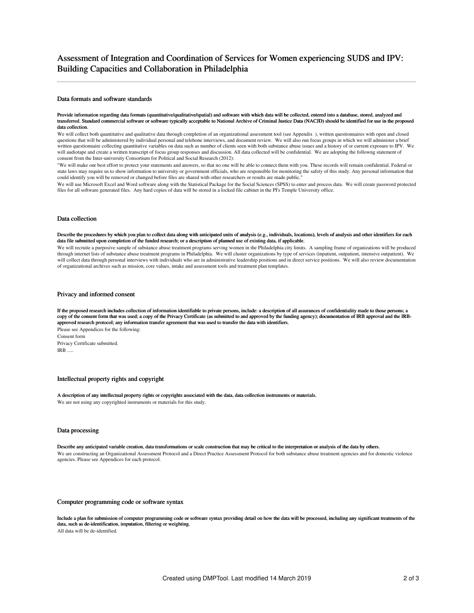#### Data formats and software standards

#### Provide information regarding data formats (quantitative/qualitative/spatial) and software with which data will be collected, entered into a database, stored, analyzed and transferred. Standard commercial software or software typically acceptable to National Archive of Criminal Justice Data (NACJD) should be identified for use in the proposed data collection.

We will collect both quantitative and qualitative data through completion of an organizational assessment tool (see Appendix ), written questionnaires with open and closed questions that will be administered by individual personal and telehone interviews, and document review. We will also run focus groups in which we will administer a brief written questionnaire collecting quantitative variables on data such as number of clients seen with both substance abuse issues and a history of or current exposure to IPV. We will audiotape and create a written transcript of focus group responses and discussion. All data collected will be confidential. We are adopting the followng statement of consent from the Inter-university Consortium for Political and Social Research (2012):

"We will make our best effort to protect your statements and answers, so that no one will be able to connect them with you. These records will remain confidential. Federal or state laws may require us to show information to university or government officials, who are responsible for monitoring the safety of this study. Any personal information that could identify you will be removed or changed before files are shared with other researchers or results are made public."

We will use Microsoft Excel and Word software along with the Statistical Package for the Social Sciences (SPSS) to enter and process data. We will create password protected files for all software generated files. Any hard copies of data will be stored in a locked file cabinet in the PI's Temple University office.

### Data collection

#### Describe the procedures by which you plan to collect data along with anticipated units of analysis (e.g., individuals, locations), levels of analysis and other identifiers for each data file submitted upon completion of the funded research; or a description of planned use of existing data, if applicable.

We will recruite a purposive sample of substance abuse treatment programs serving women in the Philadelphia city limits. A sampling frame of organizations will be produced through internet lists of substance abuse treatment programs in Philadelphia. We will cluster organizations by type of services (inpatient, outpatient, intensive outpatient). We will collect data through personal interviews with individuals who are in administrative leadership positions and in direct service positions. We will also review documentation of organizational archives such as mission, core values, intake and assessment tools and treatment plan templates.

### Privacy and informed consent

If the proposed research includes collection of information identifiable to private persons, include: a description of all assurances of confidentiality made to those persons; a copy of the consent form that was used; a copy of the Privacy Certificate (as submitted to and approved by the funding agency); documentation of IRB approval and the IRBapproved research protocol; any information transfer agreement that was used to transfer the data with identifiers. Please see Appendices for the following: Consent form

Privacy Certificate submitted. IRB .....

## Intellectual property rights and copyright

A description of any intellectual property rights or copyrights associated with the data, data collection instruments or materials. We are not using any copyrighted instruments or materials for this study.

## Data processing

Describe any anticipated variable creation, data transformations or scale construction that may be critical to the interpretation or analysis of the data by others. We are constructing an Organizational Assessment Protocol and a Direct Practice Assessment Protocol for both substance abuse treatment agencies and for domestic violence agencies. Please see Appendices for each protocol.

#### Computer programming code or software syntax

Include a plan for submission of computer programming code or software syntax providing detail on how the data will be processed, including any significant treatments of the data, such as de-identification, imputation, filtering or weighting. All data will be de-identified.